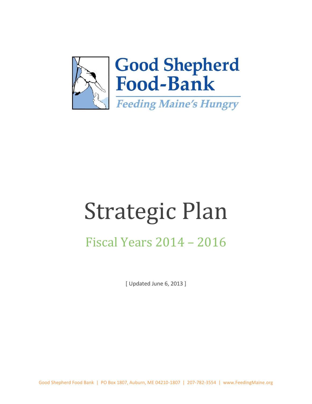

# Strategic Plan

# Fiscal Years 2014 – 2016

[ Updated June 6, 2013 ]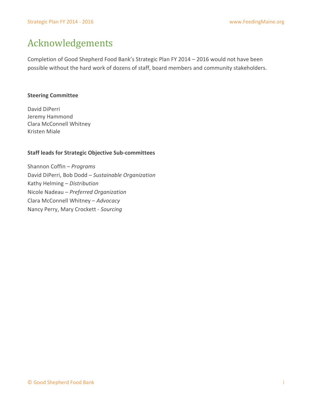## Acknowledgements

Completion of Good Shepherd Food Bank's Strategic Plan FY 2014 – 2016 would not have been possible without the hard work of dozens of staff, board members and community stakeholders.

#### **Steering Committee**

David DiPerri Jeremy Hammond Clara McConnell Whitney Kristen Miale

#### **Staff leads for Strategic Objective Sub-committees**

Shannon Coffin – *Programs* David DiPerri, Bob Dodd – *Sustainable Organization* Kathy Helming – *Distribution* Nicole Nadeau – *Preferred Organization* Clara McConnell Whitney – *Advocacy* Nancy Perry, Mary Crockett - *Sourcing*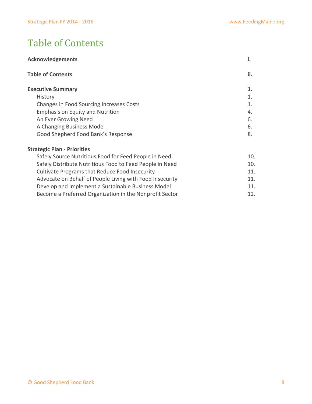# Table of Contents

| <b>Acknowledgements</b>                                  | i.  |
|----------------------------------------------------------|-----|
| <b>Table of Contents</b>                                 | ii. |
| <b>Executive Summary</b>                                 | 1.  |
| History                                                  | 1.  |
| Changes in Food Sourcing Increases Costs                 | 1.  |
| <b>Emphasis on Equity and Nutrition</b>                  | 4.  |
| An Ever Growing Need                                     | 6.  |
| A Changing Business Model                                | 6.  |
| Good Shepherd Food Bank's Response                       | 8.  |
| <b>Strategic Plan - Priorities</b>                       |     |
| Safely Source Nutritious Food for Feed People in Need    | 10. |
| Safely Distribute Nutritious Food to Feed People in Need | 10. |
| Cultivate Programs that Reduce Food Insecurity           | 11. |
| Advocate on Behalf of People Living with Food Insecurity | 11. |
| Develop and Implement a Sustainable Business Model       | 11. |
| Become a Preferred Organization in the Nonprofit Sector  | 12. |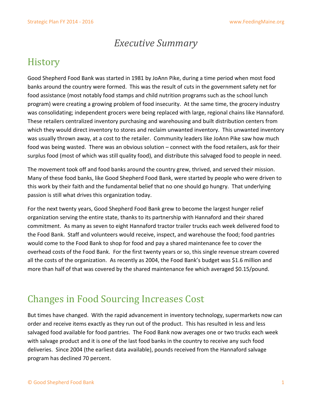#### *Executive Summary*

# **History**

Good Shepherd Food Bank was started in 1981 by JoAnn Pike, during a time period when most food banks around the country were formed. This was the result of cuts in the government safety net for food assistance (most notably food stamps and child nutrition programs such as the school lunch program) were creating a growing problem of food insecurity. At the same time, the grocery industry was consolidating; independent grocers were being replaced with large, regional chains like Hannaford. These retailers centralized inventory purchasing and warehousing and built distribution centers from which they would direct inventory to stores and reclaim unwanted inventory. This unwanted inventory was usually thrown away, at a cost to the retailer. Community leaders like JoAnn Pike saw how much food was being wasted. There was an obvious solution – connect with the food retailers, ask for their surplus food (most of which was still quality food), and distribute this salvaged food to people in need.

The movement took off and food banks around the country grew, thrived, and served their mission. Many of these food banks, like Good Shepherd Food Bank, were started by people who were driven to this work by their faith and the fundamental belief that no one should go hungry. That underlying passion is still what drives this organization today.

For the next twenty years, Good Shepherd Food Bank grew to become the largest hunger relief organization serving the entire state, thanks to its partnership with Hannaford and their shared commitment. As many as seven to eight Hannaford tractor trailer trucks each week delivered food to the Food Bank. Staff and volunteers would receive, inspect, and warehouse the food; food pantries would come to the Food Bank to shop for food and pay a shared maintenance fee to cover the overhead costs of the Food Bank. For the first twenty years or so, this single revenue stream covered all the costs of the organization. As recently as 2004, the Food Bank's budget was \$1.6 million and more than half of that was covered by the shared maintenance fee which averaged \$0.15/pound.

# Changes in Food Sourcing Increases Cost

But times have changed. With the rapid advancement in inventory technology, supermarkets now can order and receive items exactly as they run out of the product. This has resulted in less and less salvaged food available for food pantries. The Food Bank now averages one or two trucks each week with salvage product and it is one of the last food banks in the country to receive any such food deliveries. Since 2004 (the earliest data available), pounds received from the Hannaford salvage program has declined 70 percent.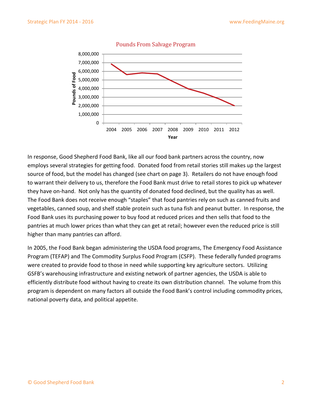

In response, Good Shepherd Food Bank, like all our food bank partners across the country, now employs several strategies for getting food. Donated food from retail stories still makes up the largest source of food, but the model has changed (see chart on page 3). Retailers do not have enough food to warrant their delivery to us, therefore the Food Bank must drive to retail stores to pick up whatever they have on-hand. Not only has the quantity of donated food declined, but the quality has as well. The Food Bank does not receive enough "staples" that food pantries rely on such as canned fruits and vegetables, canned soup, and shelf stable protein such as tuna fish and peanut butter. In response, the Food Bank uses its purchasing power to buy food at reduced prices and then sells that food to the pantries at much lower prices than what they can get at retail; however even the reduced price is still higher than many pantries can afford.

In 2005, the Food Bank began administering the USDA food programs, The Emergency Food Assistance Program (TEFAP) and The Commodity Surplus Food Program (CSFP). These federally funded programs were created to provide food to those in need while supporting key agriculture sectors. Utilizing GSFB's warehousing infrastructure and existing network of partner agencies, the USDA is able to efficiently distribute food without having to create its own distribution channel. The volume from this program is dependent on many factors all outside the Food Bank's control including commodity prices, national poverty data, and political appetite.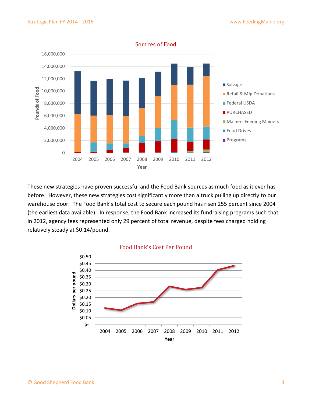

These new strategies have proven successful and the Food Bank sources as much food as it ever has before. However, these new strategies cost significantly more than a truck pulling up directly to our warehouse door. The Food Bank's total cost to secure each pound has risen 255 percent since 2004 (the earliest data available). In response, the Food Bank increased its fundraising programs such that in 2012, agency fees represented only 29 percent of total revenue, despite fees charged holding relatively steady at \$0.14/pound.



#### Food Bank's Cost Per Pound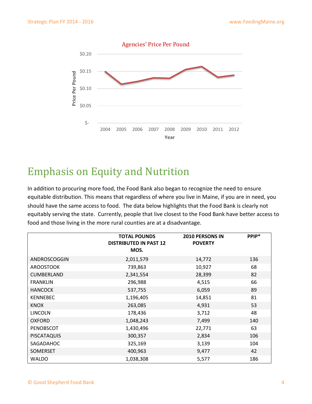

# Emphasis on Equity and Nutrition

In addition to procuring more food, the Food Bank also began to recognize the need to ensure equitable distribution. This means that regardless of where you live in Maine, if you are in need, you should have the same access to food. The data below highlights that the Food Bank is clearly not equitably serving the state. Currently, people that live closest to the Food Bank have better access to food and those living in the more rural counties are at a disadvantage.

|                    | <b>TOTAL POUNDS</b><br><b>DISTRIBUTED IN PAST 12</b><br>MOS. | <b>2010 PERSONS IN</b><br><b>POVERTY</b> | PPIP* |
|--------------------|--------------------------------------------------------------|------------------------------------------|-------|
| ANDROSCOGGIN       | 2,011,579                                                    | 14,772                                   | 136   |
| <b>AROOSTOOK</b>   | 739,863                                                      | 10,927                                   | 68    |
| <b>CUMBERLAND</b>  | 2,341,554                                                    | 28,399                                   | 82    |
| <b>FRANKLIN</b>    | 296,988                                                      | 4,515                                    | 66    |
| <b>HANCOCK</b>     | 537,755                                                      | 6,059                                    | 89    |
| <b>KENNEBEC</b>    | 1,196,405                                                    | 14,851                                   | 81    |
| <b>KNOX</b>        | 263,085                                                      | 4,931                                    | 53    |
| <b>LINCOLN</b>     | 178,436                                                      | 3,712                                    | 48    |
| <b>OXFORD</b>      | 1,048,243                                                    | 7,499                                    | 140   |
| PENOBSCOT          | 1,430,496                                                    | 22,771                                   | 63    |
| <b>PISCATAQUIS</b> | 300,357                                                      | 2,834                                    | 106   |
| SAGADAHOC          | 325,169                                                      | 3,139                                    | 104   |
| <b>SOMERSET</b>    | 400,963                                                      | 9,477                                    | 42    |
| <b>WALDO</b>       | 1,038,308                                                    | 5,577                                    | 186   |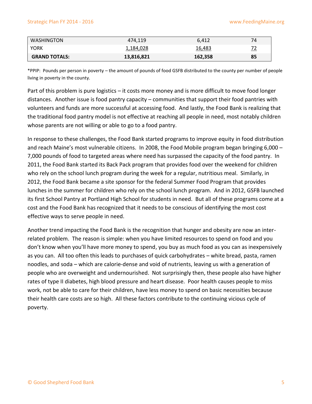| <b>WASHINGTON</b>    | 474.119    | 6.412   | 74 |
|----------------------|------------|---------|----|
| <b>YORK</b>          | 1,184,028  | 16,483  |    |
| <b>GRAND TOTALS:</b> | 13,816,821 | 162,358 | 85 |

\*PPIP: Pounds per person in poverty – the amount of pounds of food GSFB distributed to the county per number of people living in poverty in the county.

Part of this problem is pure logistics – it costs more money and is more difficult to move food longer distances. Another issue is food pantry capacity – communities that support their food pantries with volunteers and funds are more successful at accessing food. And lastly, the Food Bank is realizing that the traditional food pantry model is not effective at reaching all people in need, most notably children whose parents are not willing or able to go to a food pantry.

In response to these challenges, the Food Bank started programs to improve equity in food distribution and reach Maine's most vulnerable citizens. In 2008, the Food Mobile program began bringing 6,000 – 7,000 pounds of food to targeted areas where need has surpassed the capacity of the food pantry. In 2011, the Food Bank started its Back Pack program that provides food over the weekend for children who rely on the school lunch program during the week for a regular, nutritious meal. Similarly, in 2012, the Food Bank became a site sponsor for the federal Summer Food Program that provides lunches in the summer for children who rely on the school lunch program. And in 2012, GSFB launched its first School Pantry at Portland High School for students in need. But all of these programs come at a cost and the Food Bank has recognized that it needs to be conscious of identifying the most cost effective ways to serve people in need.

Another trend impacting the Food Bank is the recognition that hunger and obesity are now an interrelated problem. The reason is simple: when you have limited resources to spend on food and you don't know when you'll have more money to spend, you buy as much food as you can as inexpensively as you can. All too often this leads to purchases of quick carbohydrates – white bread, pasta, ramen noodles, and soda – which are calorie-dense and void of nutrients, leaving us with a generation of people who are overweight and undernourished. Not surprisingly then, these people also have higher rates of type II diabetes, high blood pressure and heart disease. Poor health causes people to miss work, not be able to care for their children, have less money to spend on basic necessities because their health care costs are so high. All these factors contribute to the continuing vicious cycle of poverty.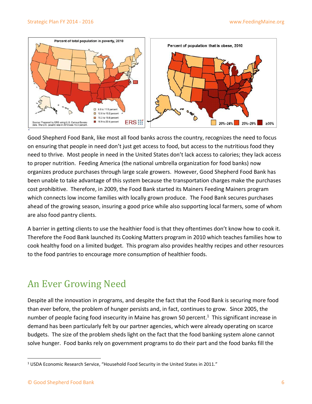

Good Shepherd Food Bank, like most all food banks across the country, recognizes the need to focus on ensuring that people in need don't just get access to food, but access to the nutritious food they need to thrive. Most people in need in the United States don't lack access to calories; they lack access to proper nutrition. Feeding America (the national umbrella organization for food banks) now organizes produce purchases through large scale growers. However, Good Shepherd Food Bank has been unable to take advantage of this system because the transportation charges make the purchases cost prohibitive. Therefore, in 2009, the Food Bank started its Mainers Feeding Mainers program which connects low income families with locally grown produce. The Food Bank secures purchases ahead of the growing season, insuring a good price while also supporting local farmers, some of whom are also food pantry clients.

A barrier in getting clients to use the healthier food is that they oftentimes don't know how to cook it. Therefore the Food Bank launched its Cooking Matters program in 2010 which teaches families how to cook healthy food on a limited budget. This program also provides healthy recipes and other resources to the food pantries to encourage more consumption of healthier foods.

# An Ever Growing Need

Despite all the innovation in programs, and despite the fact that the Food Bank is securing more food than ever before, the problem of hunger persists and, in fact, continues to grow. Since 2005, the number of people facing food insecurity in Maine has grown 50 percent.<sup>1</sup> This significant increase in demand has been particularly felt by our partner agencies, which were already operating on scarce budgets. The size of the problem sheds light on the fact that the food banking system alone cannot solve hunger. Food banks rely on government programs to do their part and the food banks fill the

 $\overline{\phantom{a}}$ 

<sup>&</sup>lt;sup>1</sup> USDA Economic Research Service, "Household Food Security in the United States in 2011."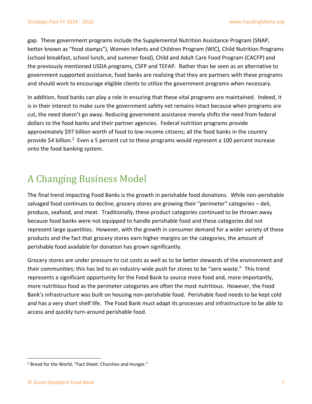gap. These government programs include the Supplemental Nutrition Assistance Program (SNAP, better known as "food stamps"), Women Infants and Children Program (WIC), Child Nutrition Programs (school breakfast, school lunch, and summer food), Child and Adult Care Food Program (CACFP) and the previously mentioned USDA programs, CSFP and TEFAP. Rather than be seen as an alternative to government supported assistance, food banks are realizing that they are partners with these programs and should work to encourage eligible clients to utilize the government programs when necessary.

In addition, food banks can play a role in ensuring that these vital programs are maintained. Indeed, it is in their interest to make sure the government safety net remains intact because when programs are cut, the need doesn't go away. Reducing government assistance merely shifts the need from federal dollars to the food banks and their partner agencies. Federal nutrition programs provide approximately \$97 billion worth of food to low-income citizens; all the food banks in the country provide \$4 billion.<sup>2</sup> Even a 5 percent cut to these programs would represent a 100 percent increase onto the food banking system.

## A Changing Business Model

The final trend impacting Food Banks is the growth in perishable food donations. While non-perishable salvaged food continues to decline, grocery stores are growing their "perimeter" categories – deli, produce, seafood, and meat. Traditionally, these product categories continued to be thrown away because food banks were not equipped to handle perishable food and these categories did not represent large quantities. However, with the growth in consumer demand for a wider variety of these products and the fact that grocery stores earn higher margins on the categories, the amount of perishable food available for donation has grown significantly.

Grocery stores are under pressure to cut costs as well as to be better stewards of the environment and their communities; this has led to an industry-wide push for stores to be "zero waste." This trend represents a significant opportunity for the Food Bank to source more food and, more importantly, more nutritious food as the perimeter categories are often the most nutritious. However, the Food Bank's infrastructure was built on housing non-perishable food. Perishable food needs to be kept cold and has a very short shelf life. The Food Bank must adapt its processes and infrastructure to be able to access and quickly turn-around perishable food.

 $\overline{\phantom{a}}$ 

<sup>&</sup>lt;sup>2</sup> Bread for the World, "Fact Sheet: Churches and Hunger."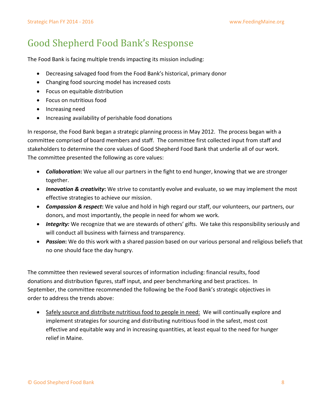# Good Shepherd Food Bank's Response

The Food Bank is facing multiple trends impacting its mission including:

- Decreasing salvaged food from the Food Bank's historical, primary donor
- Changing food sourcing model has increased costs
- Focus on equitable distribution
- Focus on nutritious food
- Increasing need
- Increasing availability of perishable food donations

In response, the Food Bank began a strategic planning process in May 2012. The process began with a committee comprised of board members and staff. The committee first collected input from staff and stakeholders to determine the core values of Good Shepherd Food Bank that underlie all of our work. The committee presented the following as core values:

- *Collaboration***:** We value all our partners in the fight to end hunger, knowing that we are stronger together.
- *Innovation & creativity***:** We strive to constantly evolve and evaluate, so we may implement the most effective strategies to achieve our mission.
- *Compassion & respect***:** We value and hold in high regard our staff, our volunteers, our partners, our donors, and most importantly, the people in need for whom we work.
- *Integrity:* We recognize that we are stewards of others' gifts. We take this responsibility seriously and will conduct all business with fairness and transparency.
- *Passion***:** We do this work with a shared passion based on our various personal and religious beliefs that no one should face the day hungry.

The committee then reviewed several sources of information including: financial results, food donations and distribution figures, staff input, and peer benchmarking and best practices. In September, the committee recommended the following be the Food Bank's strategic objectives in order to address the trends above:

 Safely source and distribute nutritious food to people in need: We will continually explore and implement strategies for sourcing and distributing nutritious food in the safest, most cost effective and equitable way and in increasing quantities, at least equal to the need for hunger relief in Maine.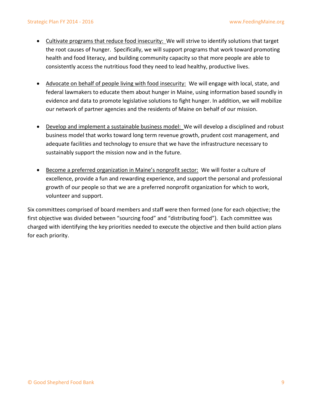- Cultivate programs that reduce food insecurity: We will strive to identify solutions that target the root causes of hunger. Specifically, we will support programs that work toward promoting health and food literacy, and building community capacity so that more people are able to consistently access the nutritious food they need to lead healthy, productive lives.
- Advocate on behalf of people living with food insecurity: We will engage with local, state, and federal lawmakers to educate them about hunger in Maine, using information based soundly in evidence and data to promote legislative solutions to fight hunger. In addition, we will mobilize our network of partner agencies and the residents of Maine on behalf of our mission.
- Develop and implement a sustainable business model: We will develop a disciplined and robust business model that works toward long term revenue growth, prudent cost management, and adequate facilities and technology to ensure that we have the infrastructure necessary to sustainably support the mission now and in the future.
- Become a preferred organization in Maine's nonprofit sector: We will foster a culture of excellence, provide a fun and rewarding experience, and support the personal and professional growth of our people so that we are a preferred nonprofit organization for which to work, volunteer and support.

Six committees comprised of board members and staff were then formed (one for each objective; the first objective was divided between "sourcing food" and "distributing food"). Each committee was charged with identifying the key priorities needed to execute the objective and then build action plans for each priority.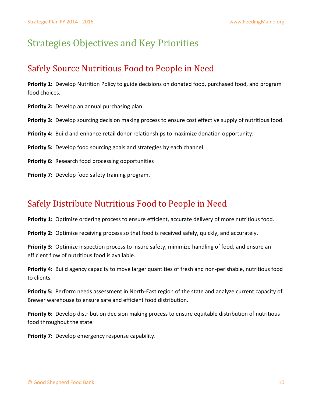# Strategies Objectives and Key Priorities

#### Safely Source Nutritious Food to People in Need

**Priority 1:** Develop Nutrition Policy to guide decisions on donated food, purchased food, and program food choices.

**Priority 2:** Develop an annual purchasing plan.

**Priority 3:** Develop sourcing decision making process to ensure cost effective supply of nutritious food.

**Priority 4:** Build and enhance retail donor relationships to maximize donation opportunity.

**Priority 5:** Develop food sourcing goals and strategies by each channel.

**Priority 6:** Research food processing opportunities

**Priority 7:** Develop food safety training program.

#### Safely Distribute Nutritious Food to People in Need

**Priority 1:** Optimize ordering process to ensure efficient, accurate delivery of more nutritious food.

Priority 2: Optimize receiving process so that food is received safely, quickly, and accurately.

**Priority 3:** Optimize inspection process to insure safety, minimize handling of food, and ensure an efficient flow of nutritious food is available.

**Priority 4:** Build agency capacity to move larger quantities of fresh and non-perishable, nutritious food to clients.

**Priority 5:** Perform needs assessment in North-East region of the state and analyze current capacity of Brewer warehouse to ensure safe and efficient food distribution.

**Priority 6:** Develop distribution decision making process to ensure equitable distribution of nutritious food throughout the state.

**Priority 7:** Develop emergency response capability.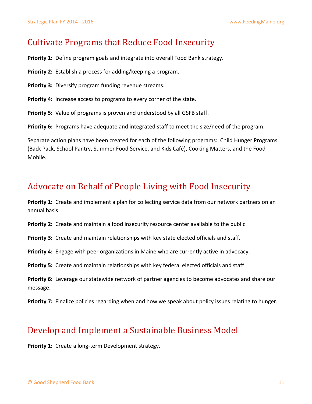#### Cultivate Programs that Reduce Food Insecurity

**Priority 1:** Define program goals and integrate into overall Food Bank strategy.

**Priority 2:** Establish a process for adding/keeping a program.

**Priority 3:** Diversify program funding revenue streams.

**Priority 4:** Increase access to programs to every corner of the state.

**Priority 5:** Value of programs is proven and understood by all GSFB staff.

**Priority 6:** Programs have adequate and integrated staff to meet the size/need of the program.

Separate action plans have been created for each of the following programs: Child Hunger Programs (Back Pack, School Pantry, Summer Food Service, and Kids Café), Cooking Matters, and the Food Mobile.

#### Advocate on Behalf of People Living with Food Insecurity

**Priority 1:** Create and implement a plan for collecting service data from our network partners on an annual basis.

**Priority 2:** Create and maintain a food insecurity resource center available to the public.

**Priority 3:** Create and maintain relationships with key state elected officials and staff.

**Priority 4:** Engage with peer organizations in Maine who are currently active in advocacy.

**Priority 5:** Create and maintain relationships with key federal elected officials and staff.

**Priority 6:** Leverage our statewide network of partner agencies to become advocates and share our message.

**Priority 7:** Finalize policies regarding when and how we speak about policy issues relating to hunger.

#### Develop and Implement a Sustainable Business Model

**Priority 1:** Create a long-term Development strategy.